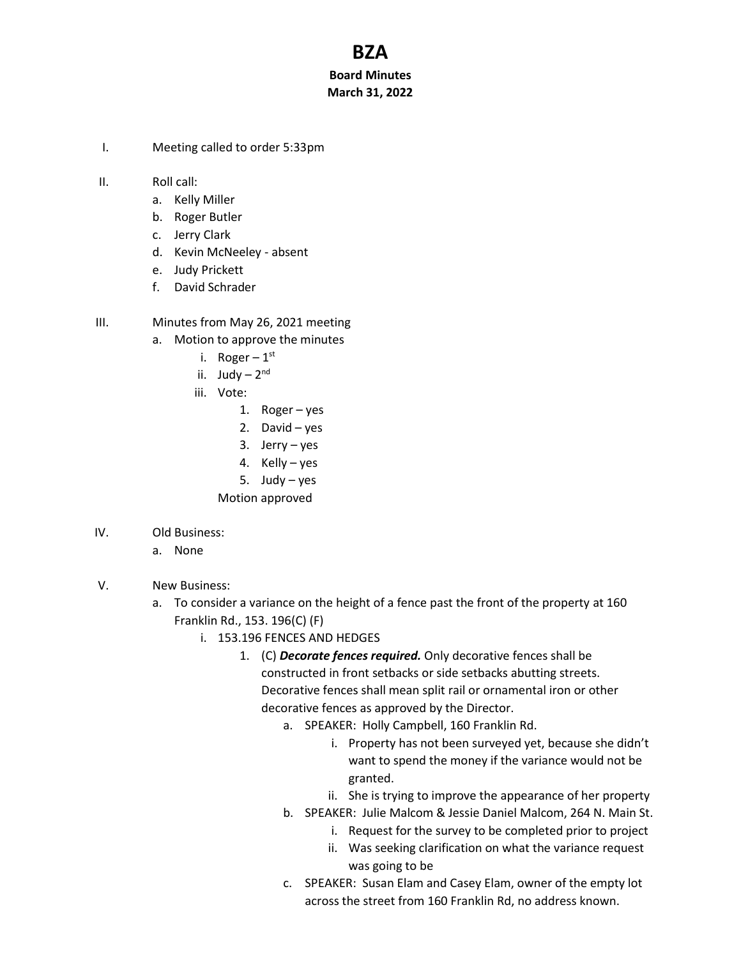## **BZA**

## **Board Minutes March 31, 2022**

- I. Meeting called to order 5:33pm
- II. Roll call:
	- a. Kelly Miller
	- b. Roger Butler
	- c. Jerry Clark
	- d. Kevin McNeeley absent
	- e. Judy Prickett
	- f. David Schrader
- III. Minutes from May 26, 2021 meeting
	- a. Motion to approve the minutes
		- i. Roger  $1^{\rm st}$
		- ii. Judy 2<sup>nd</sup>
		- iii. Vote:
			- 1. Roger yes
			- 2. David yes
			- 3. Jerry yes
			- 4. Kelly yes
			- 5. Judy yes
			- Motion approved
- IV. Old Business:
	- a. None
- V. New Business:
	- a. To consider a variance on the height of a fence past the front of the property at 160 Franklin Rd., 153. 196(C) (F)
		- i. 153.196 FENCES AND HEDGES
			- 1. (C) *Decorate fences required.* Only decorative fences shall be constructed in front setbacks or side setbacks abutting streets. Decorative fences shall mean split rail or ornamental iron or other decorative fences as approved by the Director.
				- a. SPEAKER: Holly Campbell, 160 Franklin Rd.
					- i. Property has not been surveyed yet, because she didn't want to spend the money if the variance would not be granted.
					- ii. She is trying to improve the appearance of her property
				- b. SPEAKER: Julie Malcom & Jessie Daniel Malcom, 264 N. Main St.
					- i. Request for the survey to be completed prior to project
					- ii. Was seeking clarification on what the variance request was going to be
				- c. SPEAKER: Susan Elam and Casey Elam, owner of the empty lot across the street from 160 Franklin Rd, no address known.